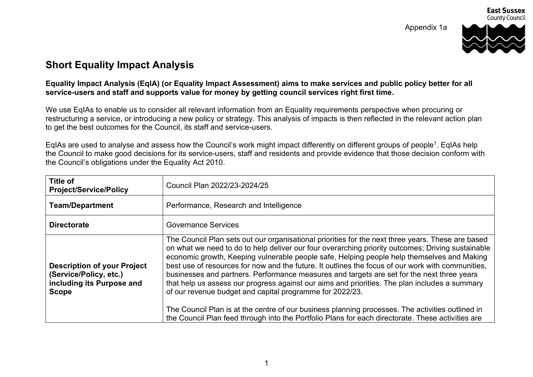Appendix 1a



## **Short Equality Impact Analysis**

## **Equality Impact Analysis (EqIA) (or Equality Impact Assessment) aims to make services and public policy better for all service-users and staff and supports value for money by getting council services right first time.**

We use EqIAs to enable us to consider all relevant information from an Equality requirements perspective when procuring or restructuring a service, or introducing a new policy or strategy. This analysis of impacts is then reflected in the relevant action plan to get the best outcomes for the Council, its staff and service-users.

EqIAs are used to analyse and assess how the Council's work might impact differently on different groups of people<sup>1</sup>. EqIAs help the Council to make good decisions for its service-users, staff and residents and provide evidence that those decision conform with the Council's obligations under the Equality Act 2010.

| <b>Title of</b><br><b>Project/Service/Policy</b>                                                          | Council Plan 2022/23-2024/25                                                                                                                                                                                                                                                                                                                                                                                                                                                                                                                                                                                                                                                                                                                                                                                                                                                  |  |
|-----------------------------------------------------------------------------------------------------------|-------------------------------------------------------------------------------------------------------------------------------------------------------------------------------------------------------------------------------------------------------------------------------------------------------------------------------------------------------------------------------------------------------------------------------------------------------------------------------------------------------------------------------------------------------------------------------------------------------------------------------------------------------------------------------------------------------------------------------------------------------------------------------------------------------------------------------------------------------------------------------|--|
| <b>Team/Department</b>                                                                                    | Performance, Research and Intelligence                                                                                                                                                                                                                                                                                                                                                                                                                                                                                                                                                                                                                                                                                                                                                                                                                                        |  |
| <b>Directorate</b>                                                                                        | <b>Governance Services</b>                                                                                                                                                                                                                                                                                                                                                                                                                                                                                                                                                                                                                                                                                                                                                                                                                                                    |  |
| <b>Description of your Project</b><br>(Service/Policy, etc.)<br>including its Purpose and<br><b>Scope</b> | The Council Plan sets out our organisational priorities for the next three years. These are based<br>on what we need to do to help deliver our four overarching priority outcomes; Driving sustainable<br>economic growth, Keeping vulnerable people safe, Helping people help themselves and Making<br>best use of resources for now and the future. It outlines the focus of our work with communities,<br>businesses and partners. Performance measures and targets are set for the next three years<br>that help us assess our progress against our aims and priorities. The plan includes a summary<br>of our revenue budget and capital programme for 2022/23.<br>The Council Plan is at the centre of our business planning processes. The activities outlined in<br>the Council Plan feed through into the Portfolio Plans for each directorate. These activities are |  |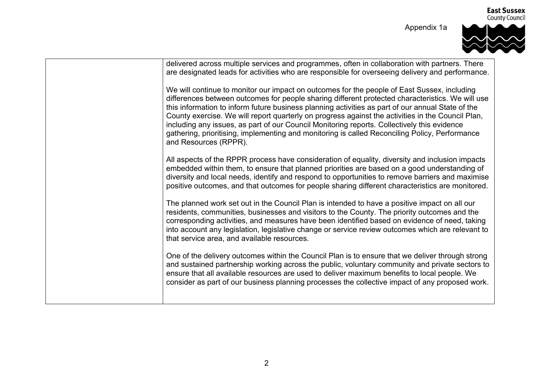Appendix 1a



| delivered across multiple services and programmes, often in collaboration with partners. There<br>are designated leads for activities who are responsible for overseeing delivery and performance.                                                                                                                                                                                                                                                                                                                                                                                                                                  |
|-------------------------------------------------------------------------------------------------------------------------------------------------------------------------------------------------------------------------------------------------------------------------------------------------------------------------------------------------------------------------------------------------------------------------------------------------------------------------------------------------------------------------------------------------------------------------------------------------------------------------------------|
| We will continue to monitor our impact on outcomes for the people of East Sussex, including<br>differences between outcomes for people sharing different protected characteristics. We will use<br>this information to inform future business planning activities as part of our annual State of the<br>County exercise. We will report quarterly on progress against the activities in the Council Plan,<br>including any issues, as part of our Council Monitoring reports. Collectively this evidence<br>gathering, prioritising, implementing and monitoring is called Reconciling Policy, Performance<br>and Resources (RPPR). |
| All aspects of the RPPR process have consideration of equality, diversity and inclusion impacts<br>embedded within them, to ensure that planned priorities are based on a good understanding of<br>diversity and local needs, identify and respond to opportunities to remove barriers and maximise<br>positive outcomes, and that outcomes for people sharing different characteristics are monitored.                                                                                                                                                                                                                             |
| The planned work set out in the Council Plan is intended to have a positive impact on all our<br>residents, communities, businesses and visitors to the County. The priority outcomes and the<br>corresponding activities, and measures have been identified based on evidence of need, taking<br>into account any legislation, legislative change or service review outcomes which are relevant to<br>that service area, and available resources.                                                                                                                                                                                  |
| One of the delivery outcomes within the Council Plan is to ensure that we deliver through strong<br>and sustained partnership working across the public, voluntary community and private sectors to<br>ensure that all available resources are used to deliver maximum benefits to local people. We<br>consider as part of our business planning processes the collective impact of any proposed work.                                                                                                                                                                                                                              |
|                                                                                                                                                                                                                                                                                                                                                                                                                                                                                                                                                                                                                                     |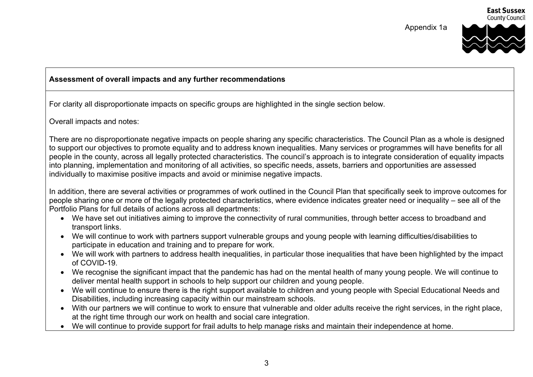

## **Assessment of overall impacts and any further recommendations**

For clarity all disproportionate impacts on specific groups are highlighted in the single section below.

Overall impacts and notes:

There are no disproportionate negative impacts on people sharing any specific characteristics. The Council Plan as a whole is designed to support our objectives to promote equality and to address known inequalities. Many services or programmes will have benefits for all people in the county, across all legally protected characteristics. The council's approach is to integrate consideration of equality impacts into planning, implementation and monitoring of all activities, so specific needs, assets, barriers and opportunities are assessed individually to maximise positive impacts and avoid or minimise negative impacts.

In addition, there are several activities or programmes of work outlined in the Council Plan that specifically seek to improve outcomes for people sharing one or more of the legally protected characteristics, where evidence indicates greater need or inequality – see all of the Portfolio Plans for full details of actions across all departments:

- We have set out initiatives aiming to improve the connectivity of rural communities, through better access to broadband and transport links.
- We will continue to work with partners support vulnerable groups and young people with learning difficulties/disabilities to participate in education and training and to prepare for work.
- We will work with partners to address health inequalities, in particular those inequalities that have been highlighted by the impact of COVID-19.
- We recognise the significant impact that the pandemic has had on the mental health of many young people. We will continue to deliver mental health support in schools to help support our children and young people.
- We will continue to ensure there is the right support available to children and young people with Special Educational Needs and Disabilities, including increasing capacity within our mainstream schools.
- With our partners we will continue to work to ensure that vulnerable and older adults receive the right services, in the right place, at the right time through our work on health and social care integration.
- We will continue to provide support for frail adults to help manage risks and maintain their independence at home.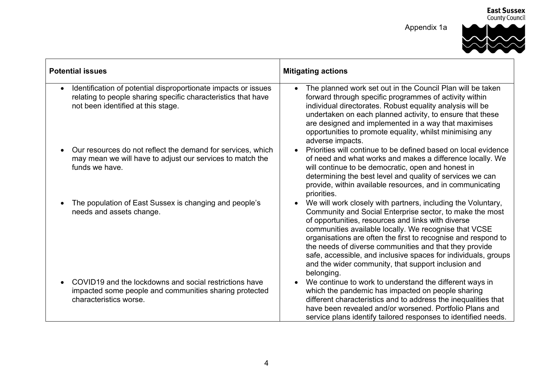Appendix 1a



| <b>Potential issues</b>                                                                                                                                               | <b>Mitigating actions</b>                                                                                                                                                                                                                                                                                                                                                                                                                                                                                 |
|-----------------------------------------------------------------------------------------------------------------------------------------------------------------------|-----------------------------------------------------------------------------------------------------------------------------------------------------------------------------------------------------------------------------------------------------------------------------------------------------------------------------------------------------------------------------------------------------------------------------------------------------------------------------------------------------------|
| Identification of potential disproportionate impacts or issues<br>relating to people sharing specific characteristics that have<br>not been identified at this stage. | The planned work set out in the Council Plan will be taken<br>forward through specific programmes of activity within<br>individual directorates. Robust equality analysis will be<br>undertaken on each planned activity, to ensure that these<br>are designed and implemented in a way that maximises<br>opportunities to promote equality, whilst minimising any<br>adverse impacts.                                                                                                                    |
| Our resources do not reflect the demand for services, which<br>may mean we will have to adjust our services to match the<br>funds we have.                            | Priorities will continue to be defined based on local evidence<br>of need and what works and makes a difference locally. We<br>will continue to be democratic, open and honest in<br>determining the best level and quality of services we can<br>provide, within available resources, and in communicating<br>priorities.                                                                                                                                                                                |
| The population of East Sussex is changing and people's<br>needs and assets change.                                                                                    | We will work closely with partners, including the Voluntary,<br>Community and Social Enterprise sector, to make the most<br>of opportunities, resources and links with diverse<br>communities available locally. We recognise that VCSE<br>organisations are often the first to recognise and respond to<br>the needs of diverse communities and that they provide<br>safe, accessible, and inclusive spaces for individuals, groups<br>and the wider community, that support inclusion and<br>belonging. |
| COVID19 and the lockdowns and social restrictions have<br>impacted some people and communities sharing protected<br>characteristics worse.                            | We continue to work to understand the different ways in<br>which the pandemic has impacted on people sharing<br>different characteristics and to address the inequalities that<br>have been revealed and/or worsened. Portfolio Plans and<br>service plans identify tailored responses to identified needs.                                                                                                                                                                                               |